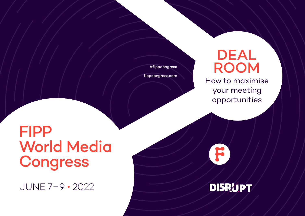#fippcongress

[fippcongress.com](http://fippcongress.com)

# DEAL ROOM

How to maximise your meeting opportunities

F

**DISRUPT** 

# FIPP World Media Congress

JUNE 7–9 • 2022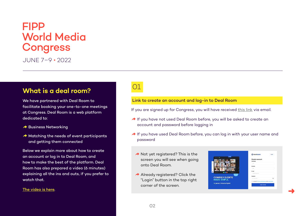JUNE 7–9 • 2022

### **What is a deal room?**

We have partnered with Deal Room to facilitate booking your one-to-one meetings at Congress. Deal Room is a web platform dedicated to:

- $\rightarrow$  Business Networking
- $\rightarrow$  Matching the needs of event participants and getting them connected

Below we explain more about how to create an account or log in to Deal Room, and how to make the best of the platform. Deal Room has also prepared a video (6 minutes) explaining all the ins and outs, if you prefer to watch that.

#### [The video is here](mailto:https://www.youtube.com/watch%3Fv%3Dmue0B1lcS6s?subject=).

### 01

### Link to create an account and log-in to Deal Room

If you are signed up for Congress, you will have received [this link](https://letsgo.dealroomevents.com/registration) via email.

- ◆ If you have not used Deal Room before, you will be asked to create an account and password before logging in
- ◆ If you have used Deal Room before, you can log in with your user name and password
	- $\rightarrow$  Not yet registered? This is the screen you will see when going onto Deal Room.
	- $\rightarrow$  Already registered? Click the "Login" button in the top right corner of the screen.



➜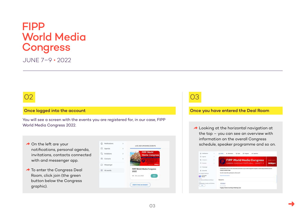JUNE 7–9 • 2022

### 02

#### Once logged into the account

You will see a screen with the events you are registered for, in our case, FIPP World Media Congress 2022.

- $\rightarrow$  On the left are your notifications, personal agenda, invitations, contacts connected with and messenger app.
- $\rightarrow$  To enter the Congress Deal Room, click join (the green button below the Congress graphic).



### 03

#### Once you have entered the Deal Room

 $\rightarrow$  Looking at the horizontal navigation at the top – you can see an overview with information on the overall Congress schedule, speaker programme and so on.

|                                              | <b>Nothcatana</b>                   |                | C: Labby                                                                                                                                               | G2 Albertisten                                 | <b>O</b> Expan | El Program | <b>D</b> Scientisms              |                             |
|----------------------------------------------|-------------------------------------|----------------|--------------------------------------------------------------------------------------------------------------------------------------------------------|------------------------------------------------|----------------|------------|----------------------------------|-----------------------------|
|                                              | E Agenta                            | $\overline{a}$ |                                                                                                                                                        |                                                |                |            |                                  |                             |
|                                              | <sup>P</sup> a Industries           | R              |                                                                                                                                                        |                                                |                |            | <b>FIPP World Media Congress</b> | <b>Brought in your live</b> |
|                                              | Girlade                             |                |                                                                                                                                                        | LISBON-CASCAIS PORTUGAL . JUNE 7-9             |                |            |                                  | <b>DISRUPT</b>              |
|                                              | <b>CT</b> Museumger                 |                |                                                                                                                                                        |                                                |                |            |                                  |                             |
| 田                                            | All annotes                         |                | The Deal Room area is in the varsie hold, downshire as you will through the reception, and dreetly outside the second<br><b>Congress speaker stage</b> |                                                |                |            |                                  |                             |
|                                              | <b>MY EVENT PROFILE</b>             |                |                                                                                                                                                        | How du I meet ather participants at the event? |                |            |                                  |                             |
|                                              | Co-floureller                       |                | <b>Mont Avent Iles</b>                                                                                                                                 |                                                |                |            |                                  |                             |
| OVER                                         | Our Brams and Nationes of Ethnicial |                | <b>Sessions</b>                                                                                                                                        |                                                |                |            |                                  |                             |
| <b>DOM</b><br>alize, investors and Partners. |                                     | <b>Cublica</b> |                                                                                                                                                        |                                                |                |            |                                  |                             |
| $-144$                                       |                                     | UK Juma 2010   |                                                                                                                                                        |                                                |                |            |                                  |                             |
|                                              |                                     |                | Pugpig Trotters Running & Walking Club                                                                                                                 |                                                |                |            |                                  |                             |

➜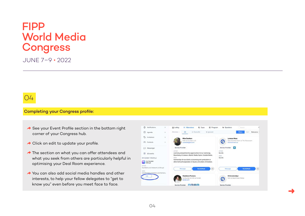JUNE 7–9 • 2022

### 04

### Completing your Congress profile:

- $\rightarrow$  See your Event Profile section in the bottom right corner of your Congress hub.
- $\rightarrow$  Click on edit to update your profile.
- **A** The section on what you can offer attendees and what you seek from others are particularly helpful in optimising your Deal Room experience.
- $\rightarrow$  You can also add social media handles and other interests, to help your fellow delegates to "get to know you" even before you meet face to face.



➜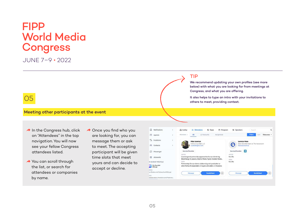JUNE 7–9 • 2022

### 05

#### Meeting other participants at the event

- $\rightarrow$  In the Congress hub, click on "Attendees" in the top navigation. You will now see your fellow Congress attendees listed.
- $\rightarrow$  You can scroll through the list, or search for attendees or companies by name.
- $\rightarrow$  Once you find who you are looking for, you can message them or ask to meet. The accepting participant will be given time slots that meet yours and can decide to accept or decline.



### TIP

We recommend updating your own profiles (see more below) with what you are looking for from meetings at Congress, and what you are offering.

It also helps to type an intro with your invitations to others to meet, providing context.